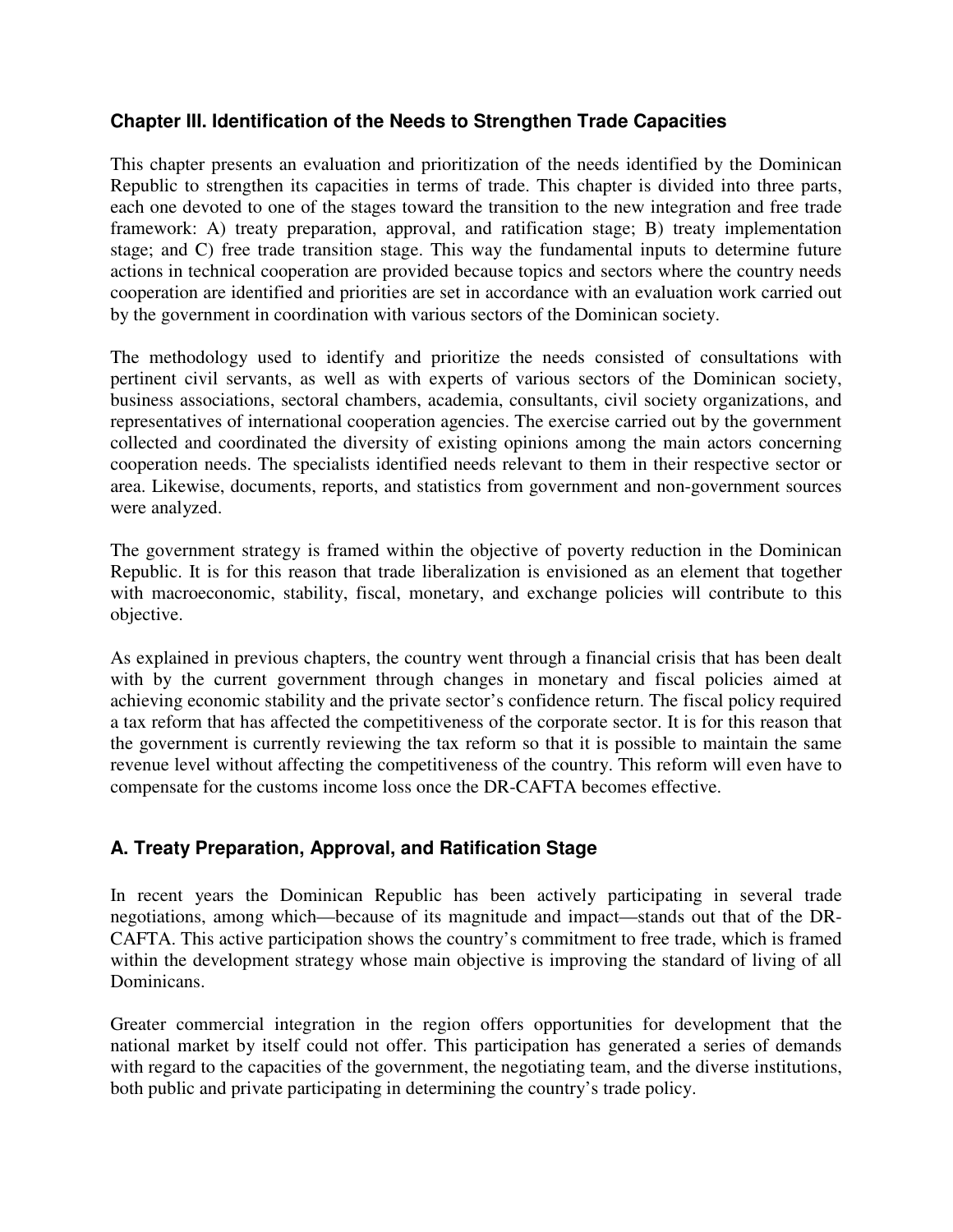## **Chapter III. Identification of the Needs to Strengthen Trade Capacities**

This chapter presents an evaluation and prioritization of the needs identified by the Dominican Republic to strengthen its capacities in terms of trade. This chapter is divided into three parts, each one devoted to one of the stages toward the transition to the new integration and free trade framework: A) treaty preparation, approval, and ratification stage; B) treaty implementation stage; and C) free trade transition stage. This way the fundamental inputs to determine future actions in technical cooperation are provided because topics and sectors where the country needs cooperation are identified and priorities are set in accordance with an evaluation work carried out by the government in coordination with various sectors of the Dominican society.

The methodology used to identify and prioritize the needs consisted of consultations with pertinent civil servants, as well as with experts of various sectors of the Dominican society, business associations, sectoral chambers, academia, consultants, civil society organizations, and representatives of international cooperation agencies. The exercise carried out by the government collected and coordinated the diversity of existing opinions among the main actors concerning cooperation needs. The specialists identified needs relevant to them in their respective sector or area. Likewise, documents, reports, and statistics from government and non-government sources were analyzed.

The government strategy is framed within the objective of poverty reduction in the Dominican Republic. It is for this reason that trade liberalization is envisioned as an element that together with macroeconomic, stability, fiscal, monetary, and exchange policies will contribute to this objective.

As explained in previous chapters, the country went through a financial crisis that has been dealt with by the current government through changes in monetary and fiscal policies aimed at achieving economic stability and the private sector's confidence return. The fiscal policy required a tax reform that has affected the competitiveness of the corporate sector. It is for this reason that the government is currently reviewing the tax reform so that it is possible to maintain the same revenue level without affecting the competitiveness of the country. This reform will even have to compensate for the customs income loss once the DR-CAFTA becomes effective.

# **A. Treaty Preparation, Approval, and Ratification Stage**

In recent years the Dominican Republic has been actively participating in several trade negotiations, among which—because of its magnitude and impact—stands out that of the DR-CAFTA. This active participation shows the country's commitment to free trade, which is framed within the development strategy whose main objective is improving the standard of living of all Dominicans.

Greater commercial integration in the region offers opportunities for development that the national market by itself could not offer. This participation has generated a series of demands with regard to the capacities of the government, the negotiating team, and the diverse institutions, both public and private participating in determining the country's trade policy.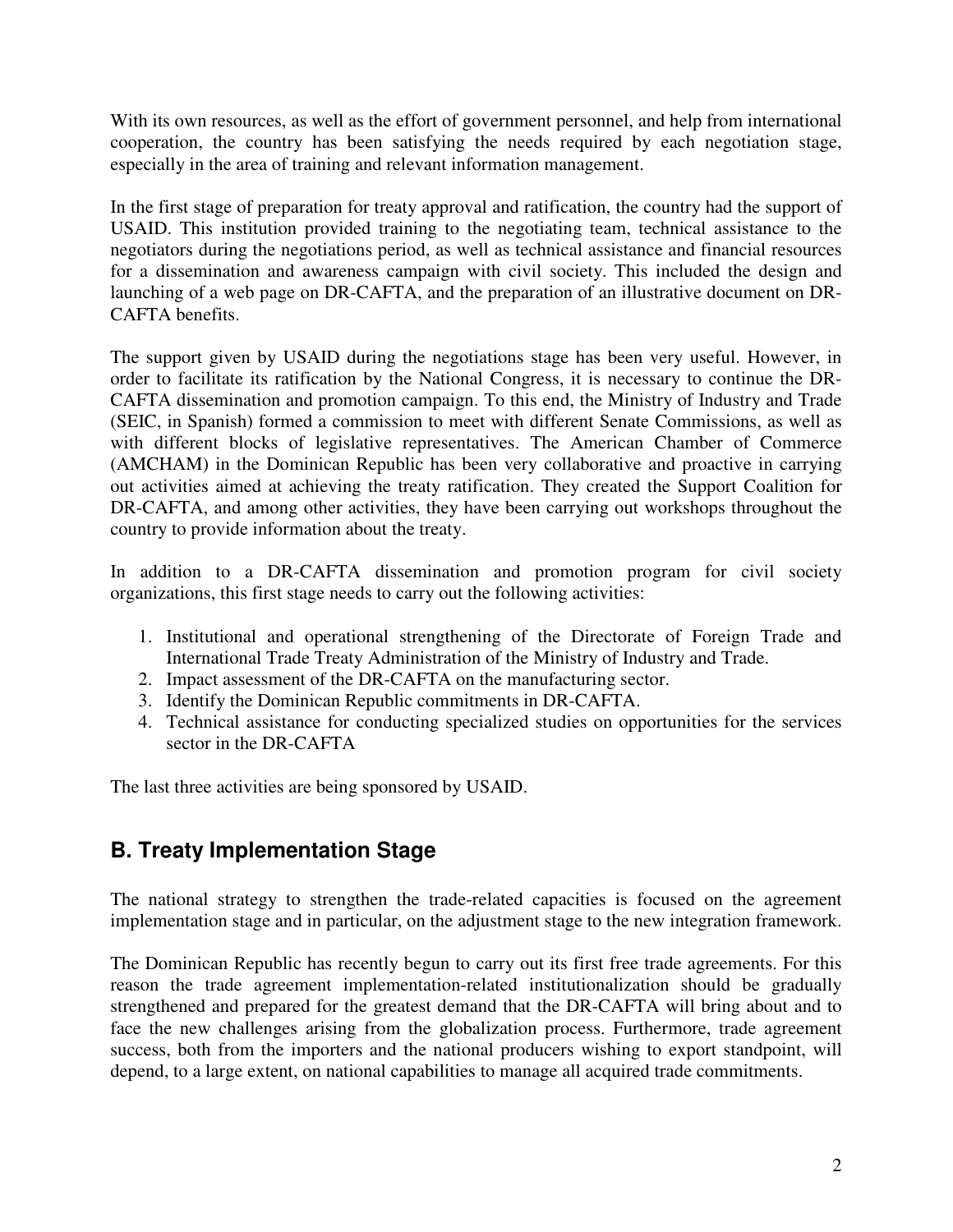With its own resources, as well as the effort of government personnel, and help from international cooperation, the country has been satisfying the needs required by each negotiation stage, especially in the area of training and relevant information management.

In the first stage of preparation for treaty approval and ratification, the country had the support of USAID. This institution provided training to the negotiating team, technical assistance to the negotiators during the negotiations period, as well as technical assistance and financial resources for a dissemination and awareness campaign with civil society. This included the design and launching of a web page on DR-CAFTA, and the preparation of an illustrative document on DR-CAFTA benefits.

The support given by USAID during the negotiations stage has been very useful. However, in order to facilitate its ratification by the National Congress, it is necessary to continue the DR-CAFTA dissemination and promotion campaign. To this end, the Ministry of Industry and Trade (SEIC, in Spanish) formed a commission to meet with different Senate Commissions, as well as with different blocks of legislative representatives. The American Chamber of Commerce (AMCHAM) in the Dominican Republic has been very collaborative and proactive in carrying out activities aimed at achieving the treaty ratification. They created the Support Coalition for DR-CAFTA, and among other activities, they have been carrying out workshops throughout the country to provide information about the treaty.

In addition to a DR-CAFTA dissemination and promotion program for civil society organizations, this first stage needs to carry out the following activities:

- 1. Institutional and operational strengthening of the Directorate of Foreign Trade and International Trade Treaty Administration of the Ministry of Industry and Trade.
- 2. Impact assessment of the DR-CAFTA on the manufacturing sector.
- 3. Identify the Dominican Republic commitments in DR-CAFTA.
- 4. Technical assistance for conducting specialized studies on opportunities for the services sector in the DR-CAFTA

The last three activities are being sponsored by USAID.

# **B. Treaty Implementation Stage**

The national strategy to strengthen the trade-related capacities is focused on the agreement implementation stage and in particular, on the adjustment stage to the new integration framework.

The Dominican Republic has recently begun to carry out its first free trade agreements. For this reason the trade agreement implementation-related institutionalization should be gradually strengthened and prepared for the greatest demand that the DR-CAFTA will bring about and to face the new challenges arising from the globalization process. Furthermore, trade agreement success, both from the importers and the national producers wishing to export standpoint, will depend, to a large extent, on national capabilities to manage all acquired trade commitments.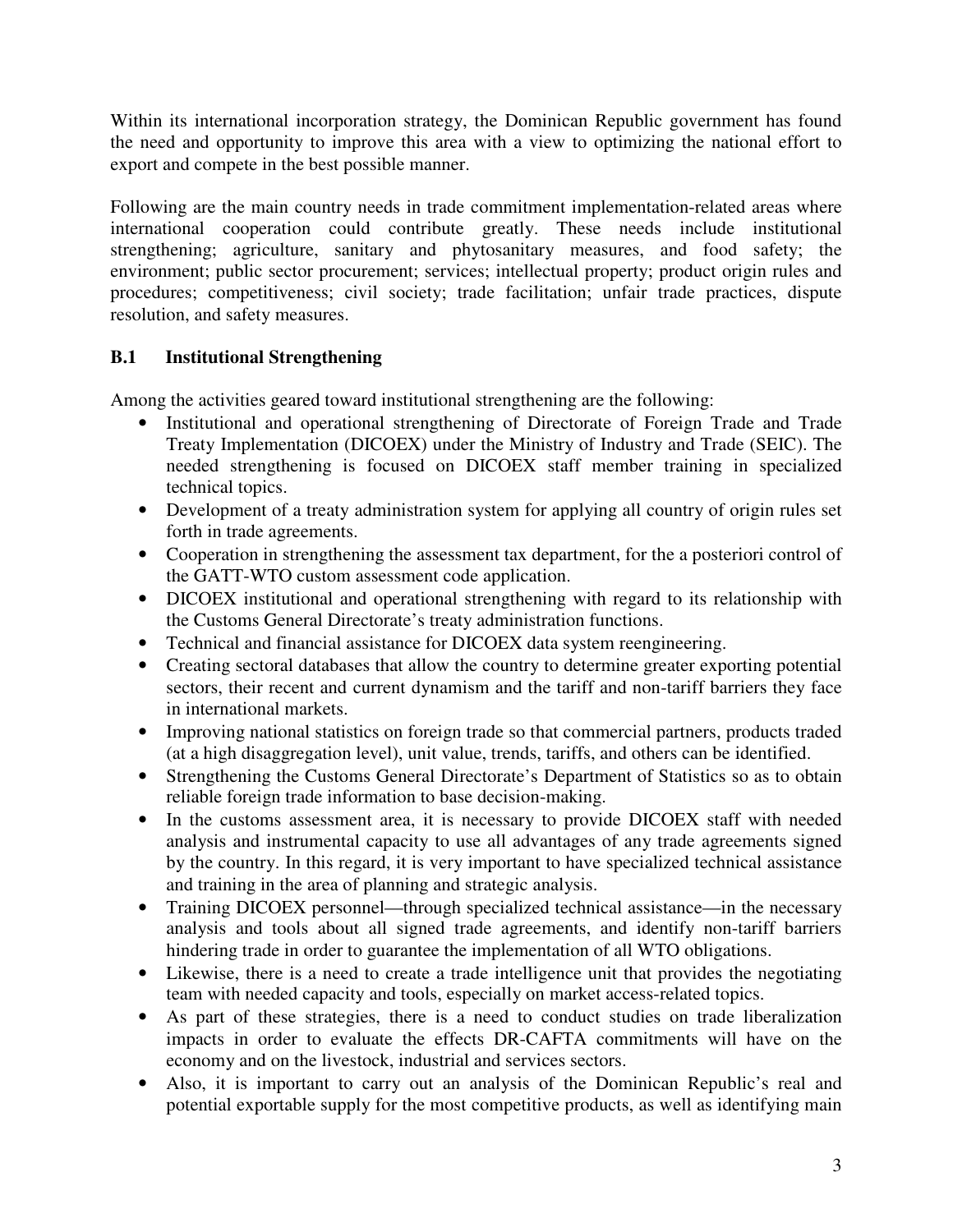Within its international incorporation strategy, the Dominican Republic government has found the need and opportunity to improve this area with a view to optimizing the national effort to export and compete in the best possible manner.

Following are the main country needs in trade commitment implementation-related areas where international cooperation could contribute greatly. These needs include institutional strengthening; agriculture, sanitary and phytosanitary measures, and food safety; the environment; public sector procurement; services; intellectual property; product origin rules and procedures; competitiveness; civil society; trade facilitation; unfair trade practices, dispute resolution, and safety measures.

# **B.1 Institutional Strengthening**

Among the activities geared toward institutional strengthening are the following:

- Institutional and operational strengthening of Directorate of Foreign Trade and Trade Treaty Implementation (DICOEX) under the Ministry of Industry and Trade (SEIC). The needed strengthening is focused on DICOEX staff member training in specialized technical topics.
- Development of a treaty administration system for applying all country of origin rules set forth in trade agreements.
- Cooperation in strengthening the assessment tax department, for the a posteriori control of the GATT-WTO custom assessment code application.
- DICOEX institutional and operational strengthening with regard to its relationship with the Customs General Directorate's treaty administration functions.
- Technical and financial assistance for DICOEX data system reengineering.
- Creating sectoral databases that allow the country to determine greater exporting potential sectors, their recent and current dynamism and the tariff and non-tariff barriers they face in international markets.
- Improving national statistics on foreign trade so that commercial partners, products traded (at a high disaggregation level), unit value, trends, tariffs, and others can be identified.
- Strengthening the Customs General Directorate's Department of Statistics so as to obtain reliable foreign trade information to base decision-making.
- In the customs assessment area, it is necessary to provide DICOEX staff with needed analysis and instrumental capacity to use all advantages of any trade agreements signed by the country. In this regard, it is very important to have specialized technical assistance and training in the area of planning and strategic analysis.
- Training DICOEX personnel—through specialized technical assistance—in the necessary analysis and tools about all signed trade agreements, and identify non-tariff barriers hindering trade in order to guarantee the implementation of all WTO obligations.
- Likewise, there is a need to create a trade intelligence unit that provides the negotiating team with needed capacity and tools, especially on market access-related topics.
- As part of these strategies, there is a need to conduct studies on trade liberalization impacts in order to evaluate the effects DR-CAFTA commitments will have on the economy and on the livestock, industrial and services sectors.
- Also, it is important to carry out an analysis of the Dominican Republic's real and potential exportable supply for the most competitive products, as well as identifying main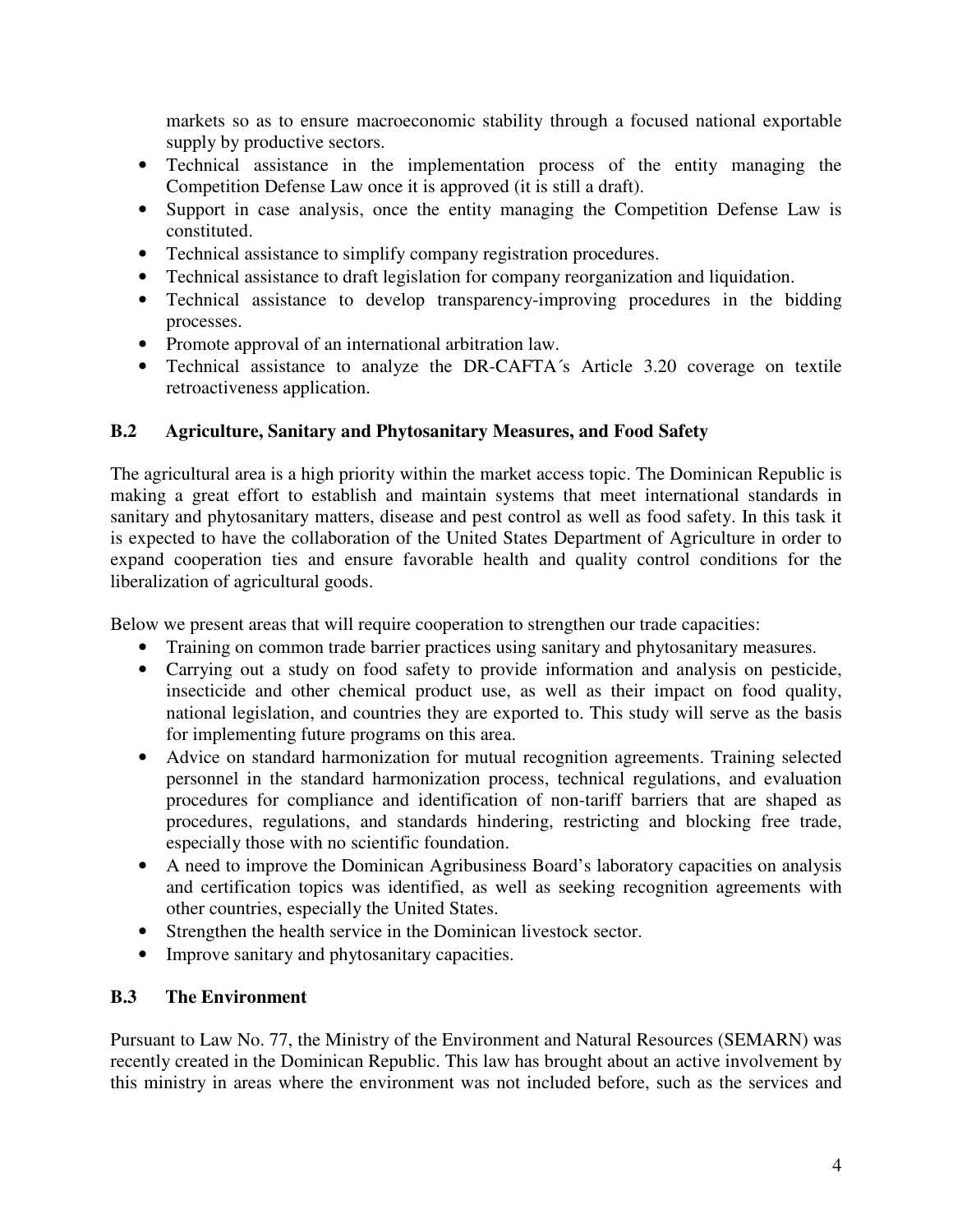markets so as to ensure macroeconomic stability through a focused national exportable supply by productive sectors.

- Technical assistance in the implementation process of the entity managing the Competition Defense Law once it is approved (it is still a draft).
- Support in case analysis, once the entity managing the Competition Defense Law is constituted.
- Technical assistance to simplify company registration procedures.
- Technical assistance to draft legislation for company reorganization and liquidation.
- Technical assistance to develop transparency-improving procedures in the bidding processes.
- Promote approval of an international arbitration law.
- Technical assistance to analyze the DR-CAFTA´s Article 3.20 coverage on textile retroactiveness application.

## **B.2 Agriculture, Sanitary and Phytosanitary Measures, and Food Safety**

The agricultural area is a high priority within the market access topic. The Dominican Republic is making a great effort to establish and maintain systems that meet international standards in sanitary and phytosanitary matters, disease and pest control as well as food safety. In this task it is expected to have the collaboration of the United States Department of Agriculture in order to expand cooperation ties and ensure favorable health and quality control conditions for the liberalization of agricultural goods.

Below we present areas that will require cooperation to strengthen our trade capacities:

- Training on common trade barrier practices using sanitary and phytosanitary measures.
- Carrying out a study on food safety to provide information and analysis on pesticide, insecticide and other chemical product use, as well as their impact on food quality, national legislation, and countries they are exported to. This study will serve as the basis for implementing future programs on this area.
- Advice on standard harmonization for mutual recognition agreements. Training selected personnel in the standard harmonization process, technical regulations, and evaluation procedures for compliance and identification of non-tariff barriers that are shaped as procedures, regulations, and standards hindering, restricting and blocking free trade, especially those with no scientific foundation.
- A need to improve the Dominican Agribusiness Board's laboratory capacities on analysis and certification topics was identified, as well as seeking recognition agreements with other countries, especially the United States.
- Strengthen the health service in the Dominican livestock sector.
- Improve sanitary and phytosanitary capacities.

# **B.3 The Environment**

Pursuant to Law No. 77, the Ministry of the Environment and Natural Resources (SEMARN) was recently created in the Dominican Republic. This law has brought about an active involvement by this ministry in areas where the environment was not included before, such as the services and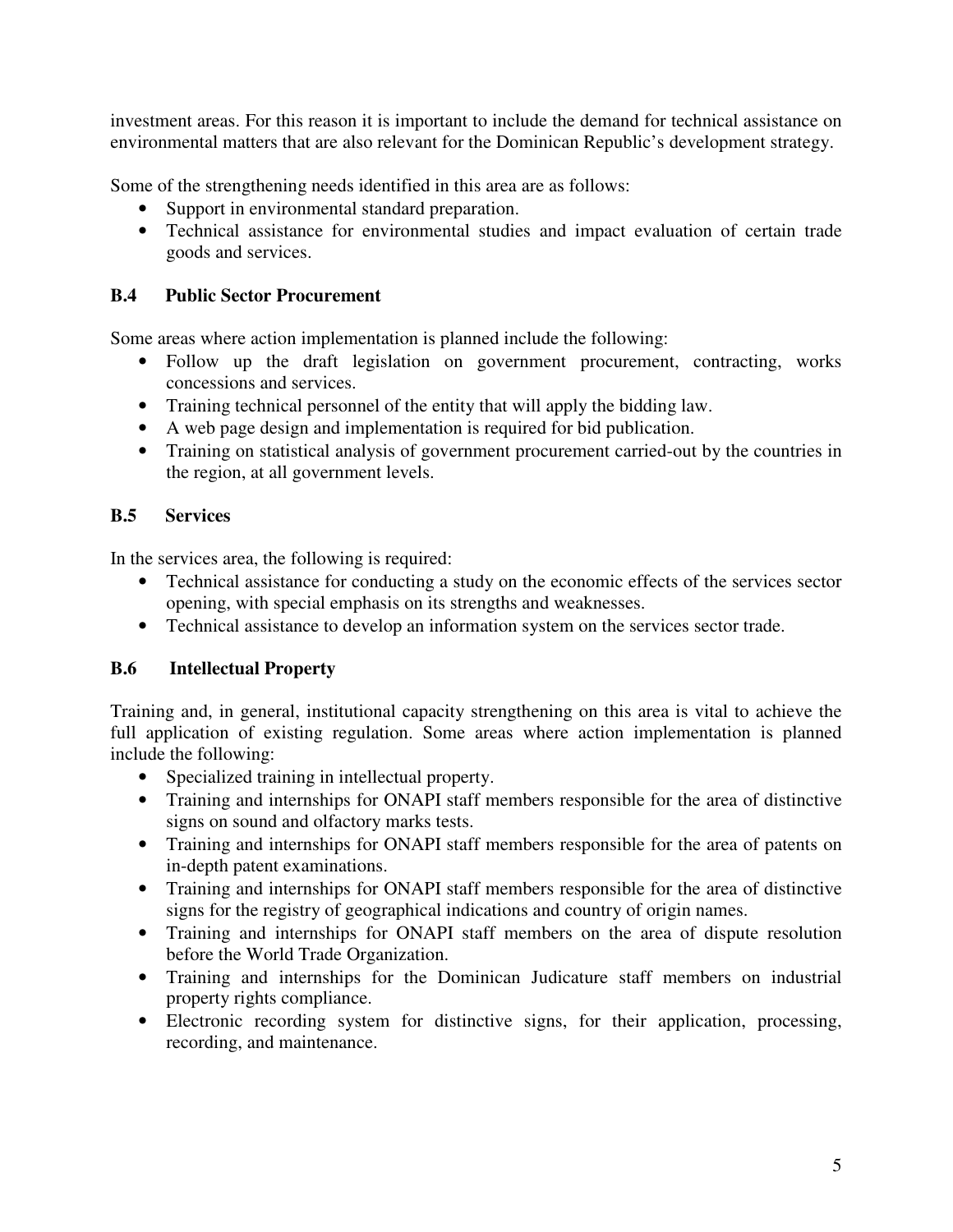investment areas. For this reason it is important to include the demand for technical assistance on environmental matters that are also relevant for the Dominican Republic's development strategy.

Some of the strengthening needs identified in this area are as follows:

- Support in environmental standard preparation.
- Technical assistance for environmental studies and impact evaluation of certain trade goods and services.

## **B.4 Public Sector Procurement**

Some areas where action implementation is planned include the following:

- Follow up the draft legislation on government procurement, contracting, works concessions and services.
- Training technical personnel of the entity that will apply the bidding law.
- A web page design and implementation is required for bid publication.
- Training on statistical analysis of government procurement carried-out by the countries in the region, at all government levels.

#### **B.5 Services**

In the services area, the following is required:

- Technical assistance for conducting a study on the economic effects of the services sector opening, with special emphasis on its strengths and weaknesses.
- Technical assistance to develop an information system on the services sector trade.

#### **B.6 Intellectual Property**

Training and, in general, institutional capacity strengthening on this area is vital to achieve the full application of existing regulation. Some areas where action implementation is planned include the following:

- Specialized training in intellectual property.
- Training and internships for ONAPI staff members responsible for the area of distinctive signs on sound and olfactory marks tests.
- Training and internships for ONAPI staff members responsible for the area of patents on in-depth patent examinations.
- Training and internships for ONAPI staff members responsible for the area of distinctive signs for the registry of geographical indications and country of origin names.
- Training and internships for ONAPI staff members on the area of dispute resolution before the World Trade Organization.
- Training and internships for the Dominican Judicature staff members on industrial property rights compliance.
- Electronic recording system for distinctive signs, for their application, processing, recording, and maintenance.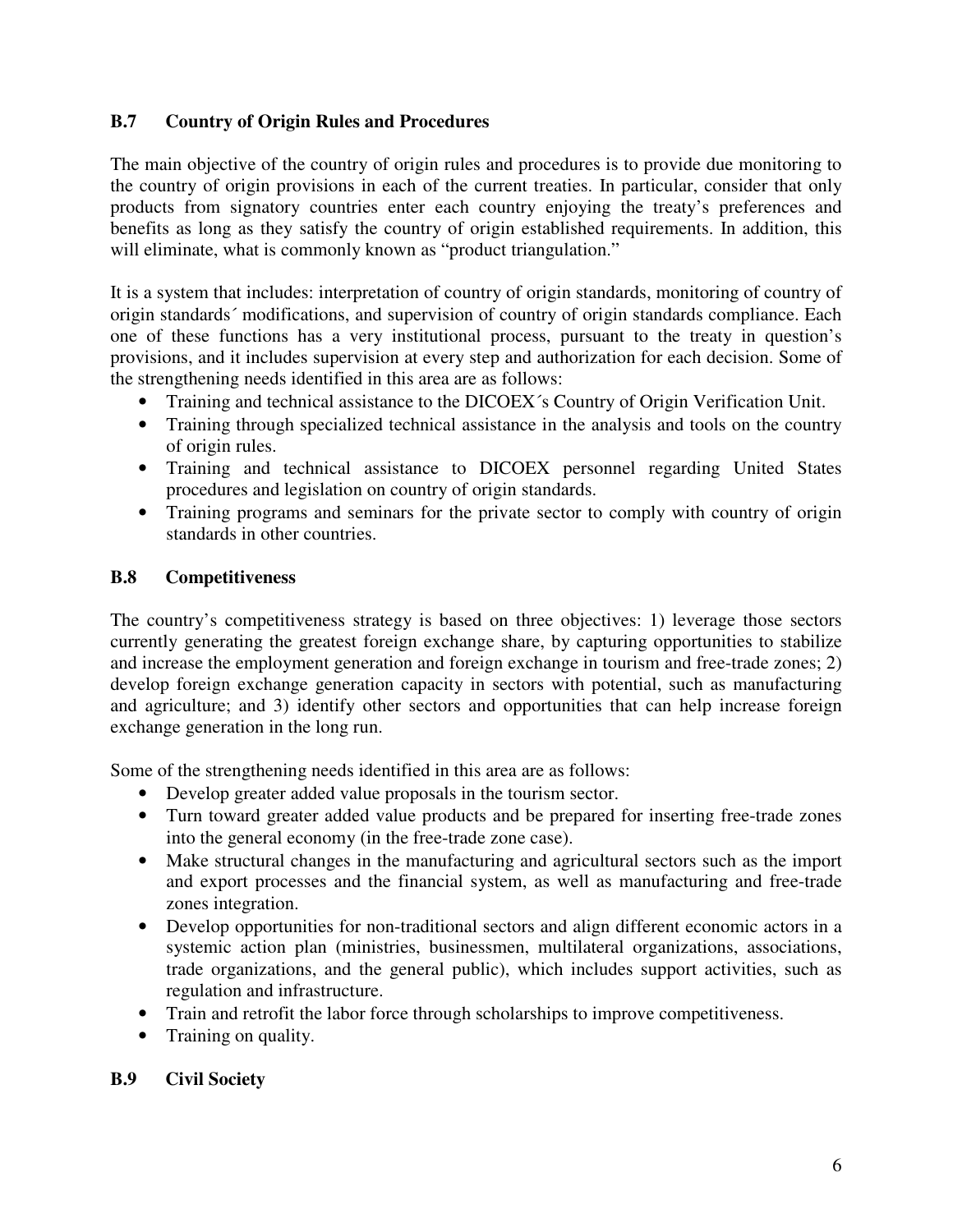#### **B.7 Country of Origin Rules and Procedures**

The main objective of the country of origin rules and procedures is to provide due monitoring to the country of origin provisions in each of the current treaties. In particular, consider that only products from signatory countries enter each country enjoying the treaty's preferences and benefits as long as they satisfy the country of origin established requirements. In addition, this will eliminate, what is commonly known as "product triangulation."

It is a system that includes: interpretation of country of origin standards, monitoring of country of origin standards´ modifications, and supervision of country of origin standards compliance. Each one of these functions has a very institutional process, pursuant to the treaty in question's provisions, and it includes supervision at every step and authorization for each decision. Some of the strengthening needs identified in this area are as follows:

- Training and technical assistance to the DICOEX´s Country of Origin Verification Unit.
- Training through specialized technical assistance in the analysis and tools on the country of origin rules.
- Training and technical assistance to DICOEX personnel regarding United States procedures and legislation on country of origin standards.
- Training programs and seminars for the private sector to comply with country of origin standards in other countries.

## **B.8 Competitiveness**

The country's competitiveness strategy is based on three objectives: 1) leverage those sectors currently generating the greatest foreign exchange share, by capturing opportunities to stabilize and increase the employment generation and foreign exchange in tourism and free-trade zones; 2) develop foreign exchange generation capacity in sectors with potential, such as manufacturing and agriculture; and 3) identify other sectors and opportunities that can help increase foreign exchange generation in the long run.

Some of the strengthening needs identified in this area are as follows:

- Develop greater added value proposals in the tourism sector.
- Turn toward greater added value products and be prepared for inserting free-trade zones into the general economy (in the free-trade zone case).
- Make structural changes in the manufacturing and agricultural sectors such as the import and export processes and the financial system, as well as manufacturing and free-trade zones integration.
- Develop opportunities for non-traditional sectors and align different economic actors in a systemic action plan (ministries, businessmen, multilateral organizations, associations, trade organizations, and the general public), which includes support activities, such as regulation and infrastructure.
- Train and retrofit the labor force through scholarships to improve competitiveness.
- Training on quality.

#### **B.9 Civil Society**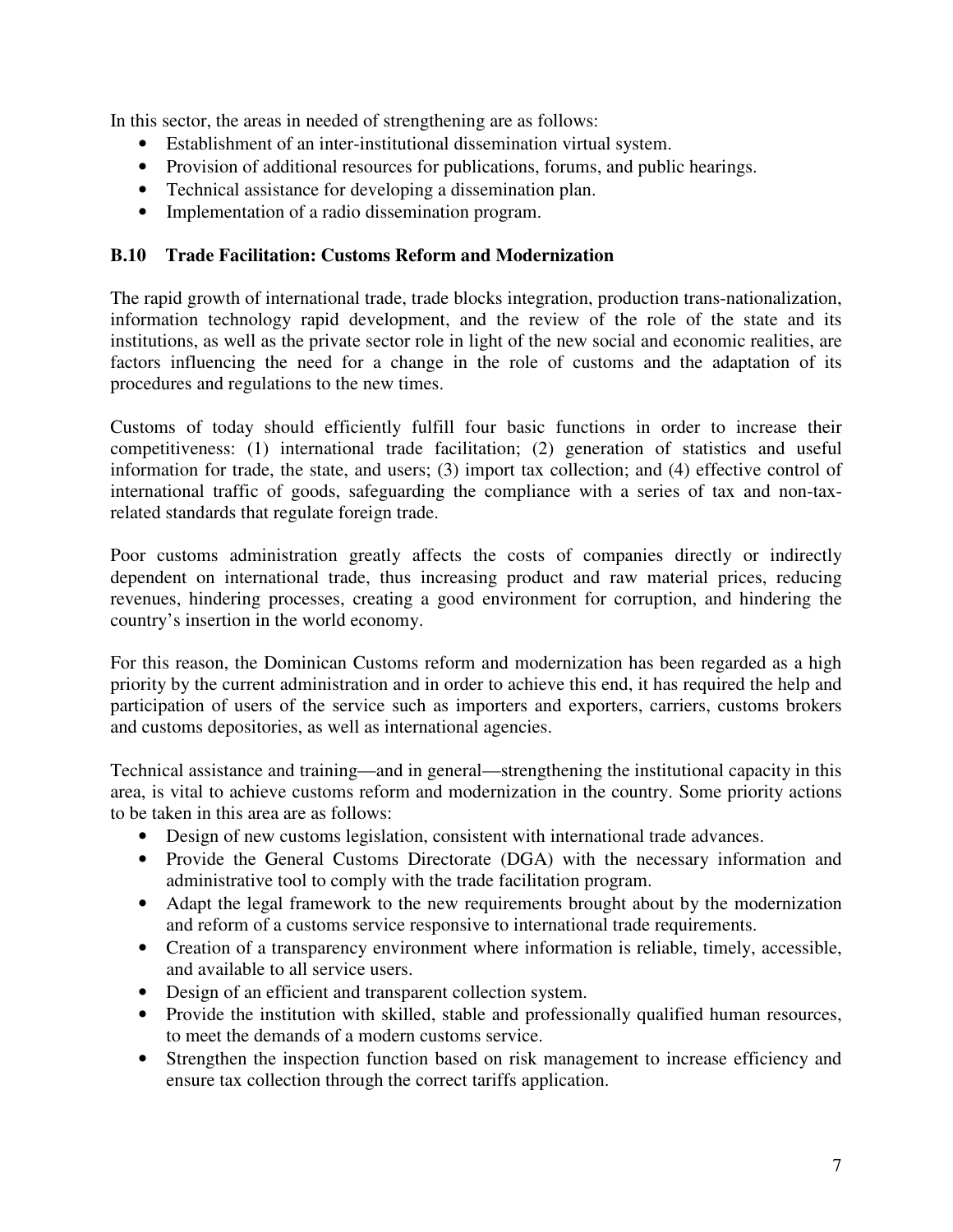In this sector, the areas in needed of strengthening are as follows:

- Establishment of an inter-institutional dissemination virtual system.
- Provision of additional resources for publications, forums, and public hearings.
- Technical assistance for developing a dissemination plan.
- Implementation of a radio dissemination program.

#### **B.10 Trade Facilitation: Customs Reform and Modernization**

The rapid growth of international trade, trade blocks integration, production trans-nationalization, information technology rapid development, and the review of the role of the state and its institutions, as well as the private sector role in light of the new social and economic realities, are factors influencing the need for a change in the role of customs and the adaptation of its procedures and regulations to the new times.

Customs of today should efficiently fulfill four basic functions in order to increase their competitiveness: (1) international trade facilitation; (2) generation of statistics and useful information for trade, the state, and users; (3) import tax collection; and (4) effective control of international traffic of goods, safeguarding the compliance with a series of tax and non-taxrelated standards that regulate foreign trade.

Poor customs administration greatly affects the costs of companies directly or indirectly dependent on international trade, thus increasing product and raw material prices, reducing revenues, hindering processes, creating a good environment for corruption, and hindering the country's insertion in the world economy.

For this reason, the Dominican Customs reform and modernization has been regarded as a high priority by the current administration and in order to achieve this end, it has required the help and participation of users of the service such as importers and exporters, carriers, customs brokers and customs depositories, as well as international agencies.

Technical assistance and training—and in general—strengthening the institutional capacity in this area, is vital to achieve customs reform and modernization in the country. Some priority actions to be taken in this area are as follows:

- Design of new customs legislation, consistent with international trade advances.
- Provide the General Customs Directorate (DGA) with the necessary information and administrative tool to comply with the trade facilitation program.
- Adapt the legal framework to the new requirements brought about by the modernization and reform of a customs service responsive to international trade requirements.
- Creation of a transparency environment where information is reliable, timely, accessible, and available to all service users.
- Design of an efficient and transparent collection system.
- Provide the institution with skilled, stable and professionally qualified human resources, to meet the demands of a modern customs service.
- Strengthen the inspection function based on risk management to increase efficiency and ensure tax collection through the correct tariffs application.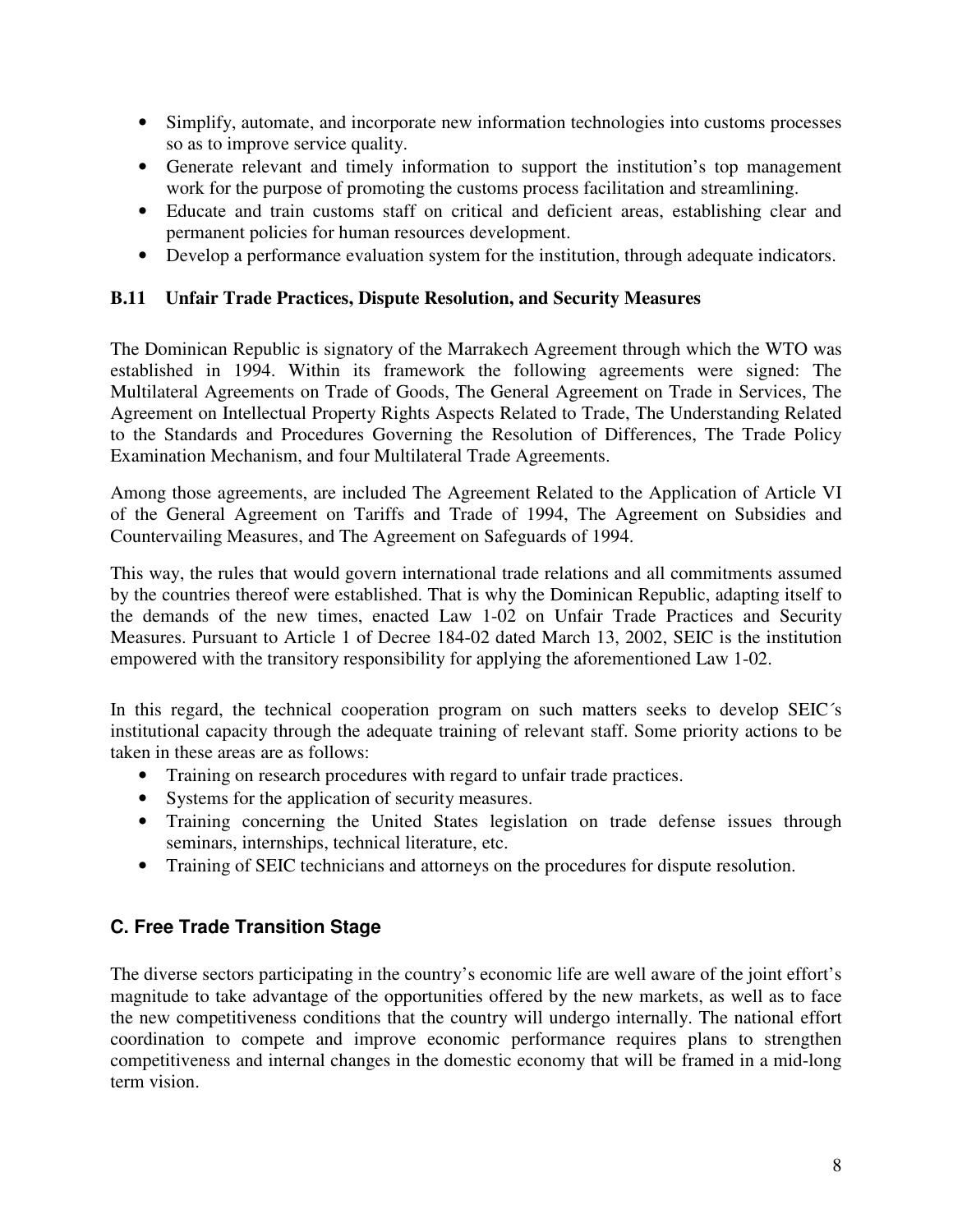- Simplify, automate, and incorporate new information technologies into customs processes so as to improve service quality.
- Generate relevant and timely information to support the institution's top management work for the purpose of promoting the customs process facilitation and streamlining.
- Educate and train customs staff on critical and deficient areas, establishing clear and permanent policies for human resources development.
- Develop a performance evaluation system for the institution, through adequate indicators.

#### **B.11 Unfair Trade Practices, Dispute Resolution, and Security Measures**

The Dominican Republic is signatory of the Marrakech Agreement through which the WTO was established in 1994. Within its framework the following agreements were signed: The Multilateral Agreements on Trade of Goods, The General Agreement on Trade in Services, The Agreement on Intellectual Property Rights Aspects Related to Trade, The Understanding Related to the Standards and Procedures Governing the Resolution of Differences, The Trade Policy Examination Mechanism, and four Multilateral Trade Agreements.

Among those agreements, are included The Agreement Related to the Application of Article VI of the General Agreement on Tariffs and Trade of 1994, The Agreement on Subsidies and Countervailing Measures, and The Agreement on Safeguards of 1994.

This way, the rules that would govern international trade relations and all commitments assumed by the countries thereof were established. That is why the Dominican Republic, adapting itself to the demands of the new times, enacted Law 1-02 on Unfair Trade Practices and Security Measures. Pursuant to Article 1 of Decree 184-02 dated March 13, 2002, SEIC is the institution empowered with the transitory responsibility for applying the aforementioned Law 1-02.

In this regard, the technical cooperation program on such matters seeks to develop SEIC's institutional capacity through the adequate training of relevant staff. Some priority actions to be taken in these areas are as follows:

- Training on research procedures with regard to unfair trade practices.
- Systems for the application of security measures.
- Training concerning the United States legislation on trade defense issues through seminars, internships, technical literature, etc.
- Training of SEIC technicians and attorneys on the procedures for dispute resolution.

#### **C. Free Trade Transition Stage**

The diverse sectors participating in the country's economic life are well aware of the joint effort's magnitude to take advantage of the opportunities offered by the new markets, as well as to face the new competitiveness conditions that the country will undergo internally. The national effort coordination to compete and improve economic performance requires plans to strengthen competitiveness and internal changes in the domestic economy that will be framed in a mid-long term vision.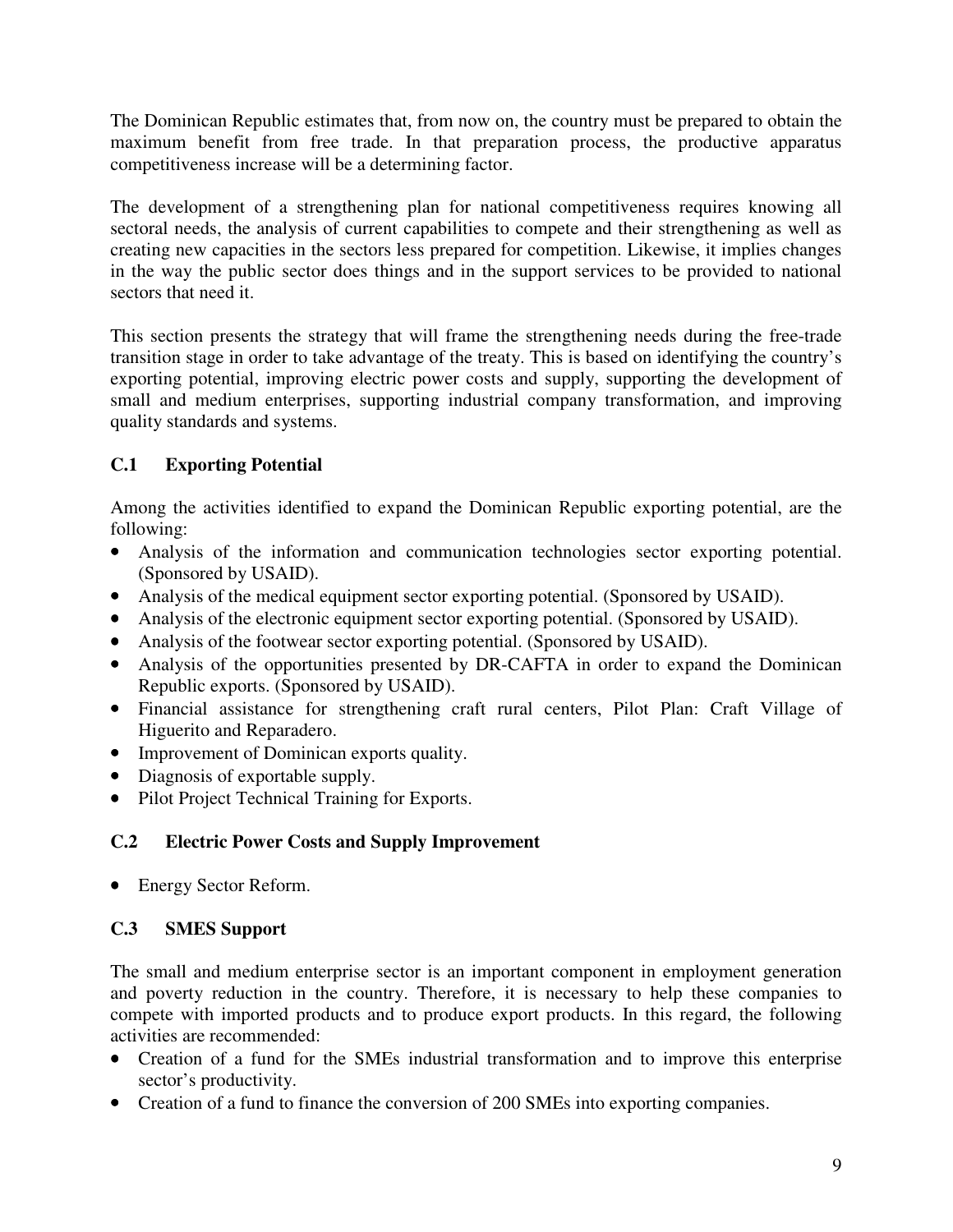The Dominican Republic estimates that, from now on, the country must be prepared to obtain the maximum benefit from free trade. In that preparation process, the productive apparatus competitiveness increase will be a determining factor.

The development of a strengthening plan for national competitiveness requires knowing all sectoral needs, the analysis of current capabilities to compete and their strengthening as well as creating new capacities in the sectors less prepared for competition. Likewise, it implies changes in the way the public sector does things and in the support services to be provided to national sectors that need it.

This section presents the strategy that will frame the strengthening needs during the free-trade transition stage in order to take advantage of the treaty. This is based on identifying the country's exporting potential, improving electric power costs and supply, supporting the development of small and medium enterprises, supporting industrial company transformation, and improving quality standards and systems.

# **C.1 Exporting Potential**

Among the activities identified to expand the Dominican Republic exporting potential, are the following:

- Analysis of the information and communication technologies sector exporting potential. (Sponsored by USAID).
- Analysis of the medical equipment sector exporting potential. (Sponsored by USAID).
- Analysis of the electronic equipment sector exporting potential. (Sponsored by USAID).
- Analysis of the footwear sector exporting potential. (Sponsored by USAID).
- Analysis of the opportunities presented by DR-CAFTA in order to expand the Dominican Republic exports. (Sponsored by USAID).
- Financial assistance for strengthening craft rural centers, Pilot Plan: Craft Village of Higuerito and Reparadero.
- Improvement of Dominican exports quality.
- Diagnosis of exportable supply.
- Pilot Project Technical Training for Exports.

# **C.2 Electric Power Costs and Supply Improvement**

• Energy Sector Reform.

# **C.3 SMES Support**

The small and medium enterprise sector is an important component in employment generation and poverty reduction in the country. Therefore, it is necessary to help these companies to compete with imported products and to produce export products. In this regard, the following activities are recommended:

- Creation of a fund for the SMEs industrial transformation and to improve this enterprise sector's productivity.
- Creation of a fund to finance the conversion of 200 SMEs into exporting companies.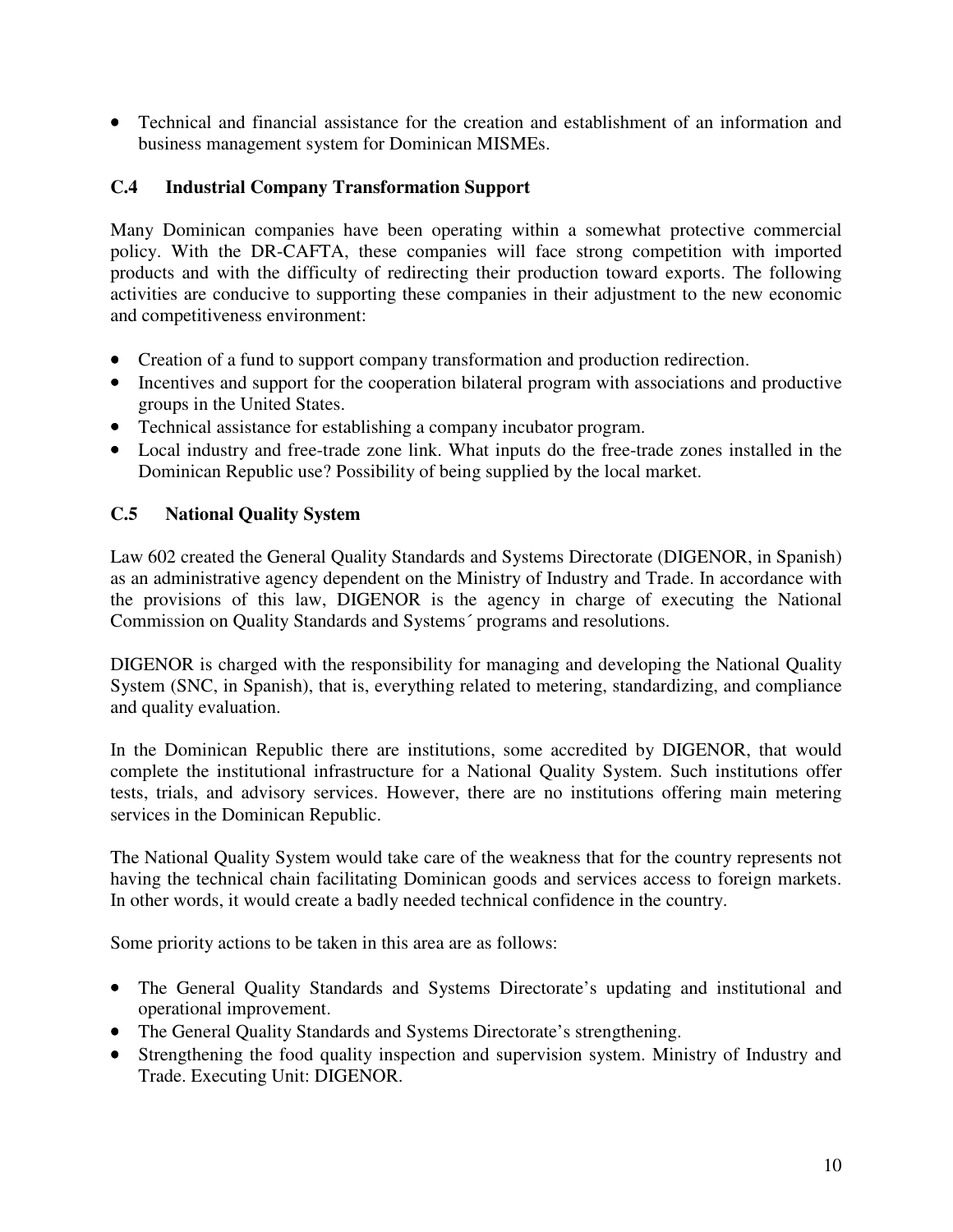• Technical and financial assistance for the creation and establishment of an information and business management system for Dominican MISMEs.

## **C.4 Industrial Company Transformation Support**

Many Dominican companies have been operating within a somewhat protective commercial policy. With the DR-CAFTA, these companies will face strong competition with imported products and with the difficulty of redirecting their production toward exports. The following activities are conducive to supporting these companies in their adjustment to the new economic and competitiveness environment:

- Creation of a fund to support company transformation and production redirection.
- Incentives and support for the cooperation bilateral program with associations and productive groups in the United States.
- Technical assistance for establishing a company incubator program.
- Local industry and free-trade zone link. What inputs do the free-trade zones installed in the Dominican Republic use? Possibility of being supplied by the local market.

## **C.5 National Quality System**

Law 602 created the General Quality Standards and Systems Directorate (DIGENOR, in Spanish) as an administrative agency dependent on the Ministry of Industry and Trade. In accordance with the provisions of this law, DIGENOR is the agency in charge of executing the National Commission on Quality Standards and Systems´ programs and resolutions.

DIGENOR is charged with the responsibility for managing and developing the National Quality System (SNC, in Spanish), that is, everything related to metering, standardizing, and compliance and quality evaluation.

In the Dominican Republic there are institutions, some accredited by DIGENOR, that would complete the institutional infrastructure for a National Quality System. Such institutions offer tests, trials, and advisory services. However, there are no institutions offering main metering services in the Dominican Republic.

The National Quality System would take care of the weakness that for the country represents not having the technical chain facilitating Dominican goods and services access to foreign markets. In other words, it would create a badly needed technical confidence in the country.

Some priority actions to be taken in this area are as follows:

- The General Quality Standards and Systems Directorate's updating and institutional and operational improvement.
- The General Quality Standards and Systems Directorate's strengthening.
- Strengthening the food quality inspection and supervision system. Ministry of Industry and Trade. Executing Unit: DIGENOR.